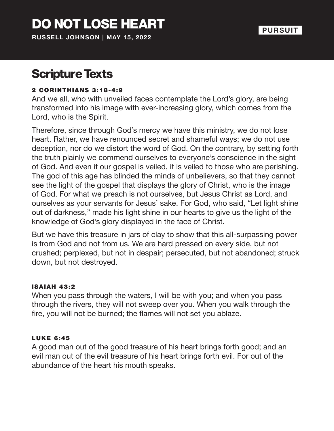# DO NOT LOSE HEART

**RUSSELL JOHNSON | MAY 15, 2022**

#### **PURSUIT**

### Scripture Texts

#### 2 CORINTHIANS 3:18-4:9

And we all, who with unveiled faces contemplate the Lord's glory, are being transformed into his image with ever-increasing glory, which comes from the Lord, who is the Spirit.

Therefore, since through God's mercy we have this ministry, we do not lose heart. Rather, we have renounced secret and shameful ways; we do not use deception, nor do we distort the word of God. On the contrary, by setting forth the truth plainly we commend ourselves to everyone's conscience in the sight of God. And even if our gospel is veiled, it is veiled to those who are perishing. The god of this age has blinded the minds of unbelievers, so that they cannot see the light of the gospel that displays the glory of Christ, who is the image of God. For what we preach is not ourselves, but Jesus Christ as Lord, and ourselves as your servants for Jesus' sake. For God, who said, "Let light shine out of darkness," made his light shine in our hearts to give us the light of the knowledge of God's glory displayed in the face of Christ.

But we have this treasure in jars of clay to show that this all-surpassing power is from God and not from us. We are hard pressed on every side, but not crushed; perplexed, but not in despair; persecuted, but not abandoned; struck down, but not destroyed.

#### **ISAIAH 43:2**

When you pass through the waters, I will be with you; and when you pass through the rivers, they will not sweep over you. When you walk through the fire, you will not be burned; the flames will not set you ablaze.

#### LUKE 6:45

A good man out of the good treasure of his heart brings forth good; and an evil man out of the evil treasure of his heart brings forth evil. For out of the abundance of the heart his mouth speaks.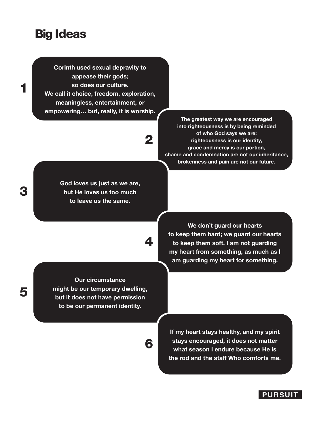### Big Ideas

1

3

5

**Corinth used sexual depravity to appease their gods; so does our culture. We call it choice, freedom, exploration, meaningless, entertainment, or empowering… but, really, it is worship.**

## 2

4

6

**God loves us just as we are, but He loves us too much to leave us the same.**

**The greatest way we are encouraged into righteousness is by being reminded of who God says we are: righteousness is our identity, grace and mercy is our portion, shame and condemnation are not our inheritance, brokenness and pain are not our future.**

**Our circumstance** 

**We don't guard our hearts to keep them hard; we guard our hearts to keep them soft. I am not guarding my heart from something, as much as I am guarding my heart for something.**

**might be our temporary dwelling, but it does not have permission to be our permanent identity.**

> **If my heart stays healthy, and my spirit stays encouraged, it does not matter what season I endure because He is the rod and the staff Who comforts me.**